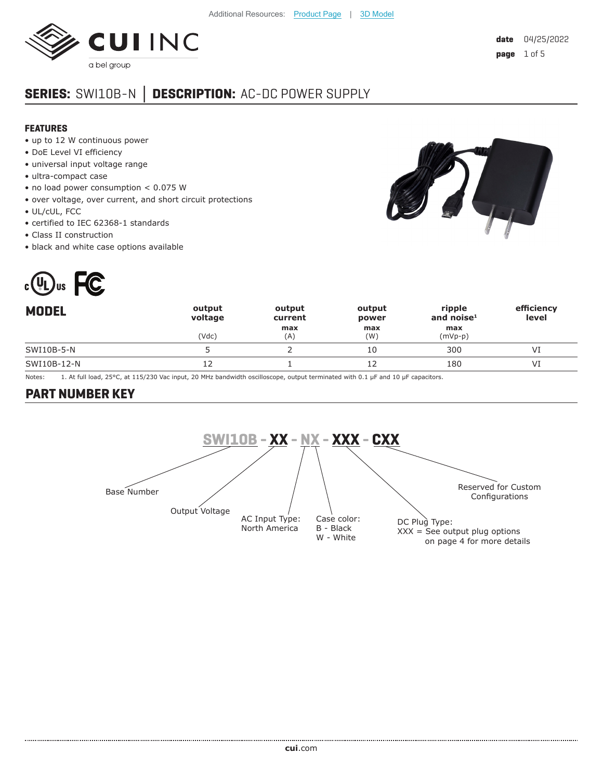

# **SERIES:** SWI10B-N **│ DESCRIPTION:** AC-DC POWER SUPPLY

#### **FEATURES**

- up to 12 W continuous power
- DoE Level VI efficiency
- universal input voltage range
- ultra-compact case
- no load power consumption < 0.075 W
- over voltage, over current, and short circuit protections
- UL/cUL, FCC
- certified to IEC 62368-1 standards
- Class II construction
- black and white case options available



| <b>MODEL</b> | output<br>voltage | output<br>current | output<br>power | ripple<br>and noise $1$ | efficiency<br>level |
|--------------|-------------------|-------------------|-----------------|-------------------------|---------------------|
|              | (Vdc)             | max<br>(A)        | max<br>(W)      | max<br>$(mVp-p)$        |                     |
| SWI10B-5-N   |                   |                   | 10              | 300                     | VI                  |
| SWI10B-12-N  | 12                |                   |                 | 180                     | VI                  |

Notes: 1. At full load, 25°C, at 115/230 Vac input, 20 MHz bandwidth oscilloscope, output terminated with 0.1 µF and 10 µF capacitors.

## **PART NUMBER KEY**

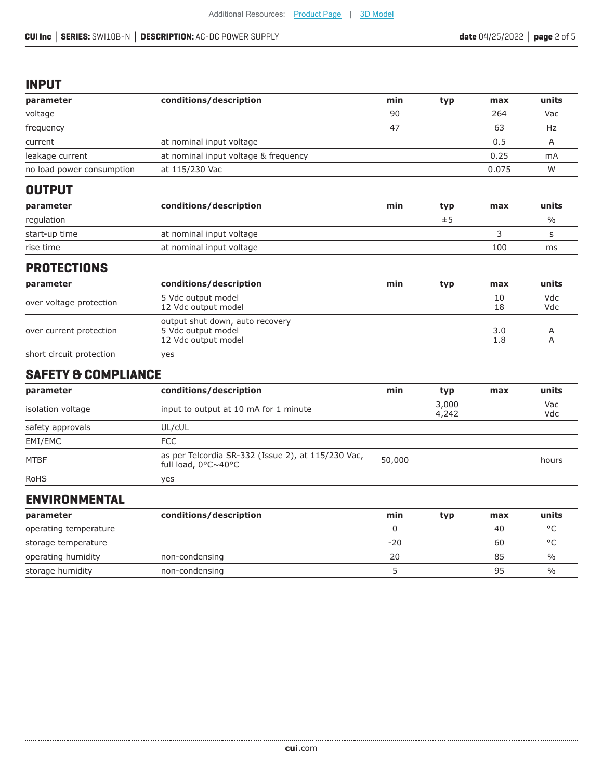#### **INPUT**

| parameter                      | conditions/description                                                       | min      | typ            | max        | units         |
|--------------------------------|------------------------------------------------------------------------------|----------|----------------|------------|---------------|
| voltage                        |                                                                              | 90       |                | 264        | Vac           |
| frequency                      |                                                                              | 47       |                | 63         | Hz            |
| current                        | at nominal input voltage                                                     |          |                | 0.5        | A             |
| leakage current                | at nominal input voltage & frequency                                         |          |                | 0.25       | mA            |
| no load power consumption      | at 115/230 Vac                                                               |          |                | 0.075      | W             |
| <b>OUTPUT</b>                  |                                                                              |          |                |            |               |
| parameter                      | conditions/description                                                       | min      | typ            | max        | units         |
| regulation                     |                                                                              |          | ±5             |            | $\frac{0}{0}$ |
| start-up time                  | at nominal input voltage                                                     |          |                | 3          | S             |
| rise time                      | at nominal input voltage                                                     |          |                | 100        | ms            |
| <b>PROTECTIONS</b>             |                                                                              |          |                |            |               |
| parameter                      | conditions/description                                                       | min      | typ            | max        | units         |
| over voltage protection        | 5 Vdc output model<br>12 Vdc output model                                    |          |                | 10<br>18   | Vdc<br>Vdc    |
| over current protection        | output shut down, auto recovery<br>5 Vdc output model<br>12 Vdc output model |          |                | 3.0<br>1.8 | Α<br>A        |
| short circuit protection       | yes                                                                          |          |                |            |               |
| <b>SAFETY &amp; COMPLIANCE</b> |                                                                              |          |                |            |               |
| parameter                      | conditions/description                                                       | min      | typ            | max        | units         |
| isolation voltage              | input to output at 10 mA for 1 minute                                        |          | 3,000<br>4,242 |            | Vac<br>Vdc    |
| safety approvals               | UL/cUL                                                                       |          |                |            |               |
| EMI/EMC                        | <b>FCC</b>                                                                   |          |                |            |               |
| MTBF                           | as per Telcordia SR-332 (Issue 2), at 115/230 Vac,<br>full load, 0°C~40°C    | 50,000   |                |            | hours         |
| <b>RoHS</b>                    | yes                                                                          |          |                |            |               |
| <b>ENVIRONMENTAL</b>           |                                                                              |          |                |            |               |
| parameter                      | conditions/description                                                       | min      | typ            | max        | units         |
| operating temperature          |                                                                              | $\Omega$ |                | 40         | $^{\circ}$ C  |
| storage temperature            |                                                                              | $-20$    |                | 60         | °C            |

operating humidity and non-condensing and the set of the conduction of the conduction of the conduction of the  $\%$ storage humidity only non-condensing contract the storage humidity on the mon-condensing storage for the storage  $\frac{95}{20}$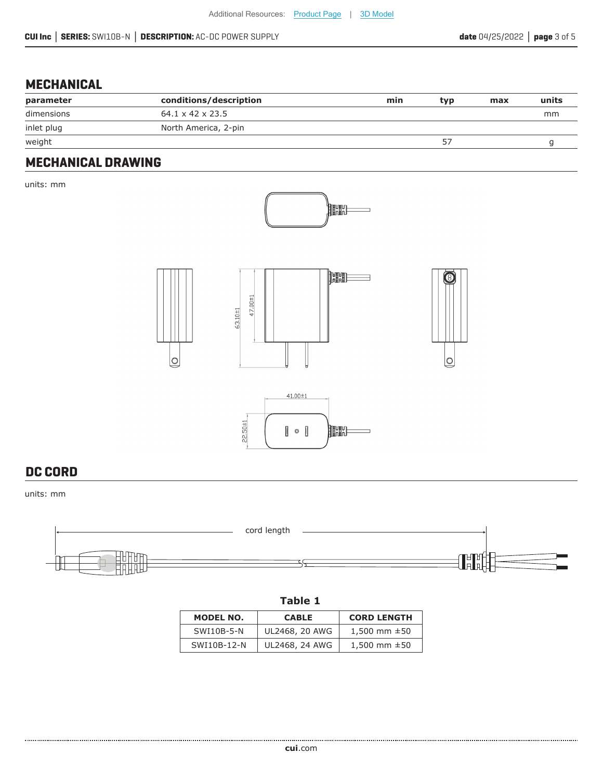## **MECHANICAL**

| parameter  | conditions/description       | min | typ | max | units |
|------------|------------------------------|-----|-----|-----|-------|
| dimensions | $64.1 \times 42 \times 23.5$ |     |     |     | mm    |
| inlet plug | North America, 2-pin         |     |     |     |       |
| weight     |                              |     |     |     |       |

### **MECHANICAL DRAWING**

units: mm









### **DC CORD**

units: mm



| . . | ۹ | v<br>× |  |
|-----|---|--------|--|
|-----|---|--------|--|

| MODEL NO.   | <b>CABLE</b>   | <b>CORD LENGTH</b> |
|-------------|----------------|--------------------|
| SWI10B-5-N  | UL2468, 20 AWG | 1,500 mm $\pm$ 50  |
| SWI10B-12-N | UL2468, 24 AWG | 1,500 mm $\pm$ 50  |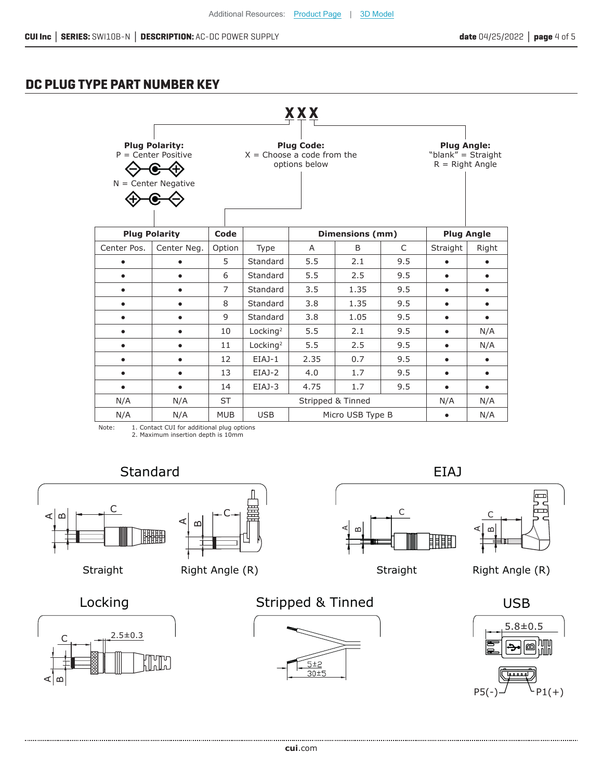## **DC PLUG TYPE PART NUMBER KEY**

|             |                                                                         |                |                      | XXX                                                                |                        |              |                                                               |           |
|-------------|-------------------------------------------------------------------------|----------------|----------------------|--------------------------------------------------------------------|------------------------|--------------|---------------------------------------------------------------|-----------|
|             | <b>Plug Polarity:</b><br>$P =$ Center Positive<br>$N =$ Center Negative |                |                      | <b>Plug Code:</b><br>$X =$ Choose a code from the<br>options below |                        |              | <b>Plug Angle:</b><br>"blank" = Straight<br>$R =$ Right Angle |           |
|             | <b>Plug Polarity</b>                                                    | Code           |                      |                                                                    | <b>Dimensions (mm)</b> |              | <b>Plug Angle</b>                                             |           |
| Center Pos. | Center Neg.                                                             | Option         | Type                 | A                                                                  | B                      | $\mathsf{C}$ | Straight                                                      | Right     |
|             |                                                                         | 5              | Standard             | 5.5                                                                | 2.1                    | 9.5          |                                                               |           |
| $\bullet$   | $\bullet$                                                               | 6              | Standard             | 5.5                                                                | 2.5                    | 9.5          | $\bullet$                                                     | $\bullet$ |
| $\bullet$   | $\bullet$                                                               | $\overline{7}$ | Standard             | 3.5                                                                | 1.35                   | 9.5          | $\bullet$                                                     | $\bullet$ |
| $\bullet$   | $\bullet$                                                               | 8              | Standard             | 3.8                                                                | 1.35                   | 9.5          | ٠                                                             | $\bullet$ |
|             | $\bullet$                                                               | 9              | Standard             | 3.8                                                                | 1.05                   | 9.5          | $\bullet$                                                     | $\bullet$ |
|             | $\bullet$                                                               | 10             | Locking <sup>2</sup> | 5.5                                                                | 2.1                    | 9.5          | $\bullet$                                                     | N/A       |
| $\bullet$   | $\bullet$                                                               | 11             | Locking <sup>2</sup> | 5.5                                                                | 2.5                    | 9.5          | $\bullet$                                                     | N/A       |
| $\bullet$   | $\bullet$                                                               | 12             | $EIAJ-1$             | 2.35                                                               | 0.7                    | 9.5          | $\bullet$                                                     | $\bullet$ |
| $\bullet$   | $\bullet$                                                               | 13             | $EIAJ-2$             | 4.0                                                                | 1.7                    | 9.5          | $\bullet$                                                     | $\bullet$ |
| $\bullet$   | $\bullet$                                                               | 14             | EIAJ-3               | 4.75                                                               | 1.7                    | 9.5          | $\bullet$                                                     | $\bullet$ |
| N/A         | N/A                                                                     | <b>ST</b>      |                      | Stripped & Tinned                                                  |                        |              | N/A                                                           | N/A       |
| N/A         | N/A                                                                     | <b>MUB</b>     | <b>USB</b>           |                                                                    | Micro USB Type B       |              | $\bullet$                                                     | N/A       |

Note: 1. Contact CUI for additional plug options 2. Maximum insertion depth is 10mm

## Standard EIAJ







C

 $\mathbf{\Omega}$ 



Aമ



||||||

C



Straight Right Angle (R)